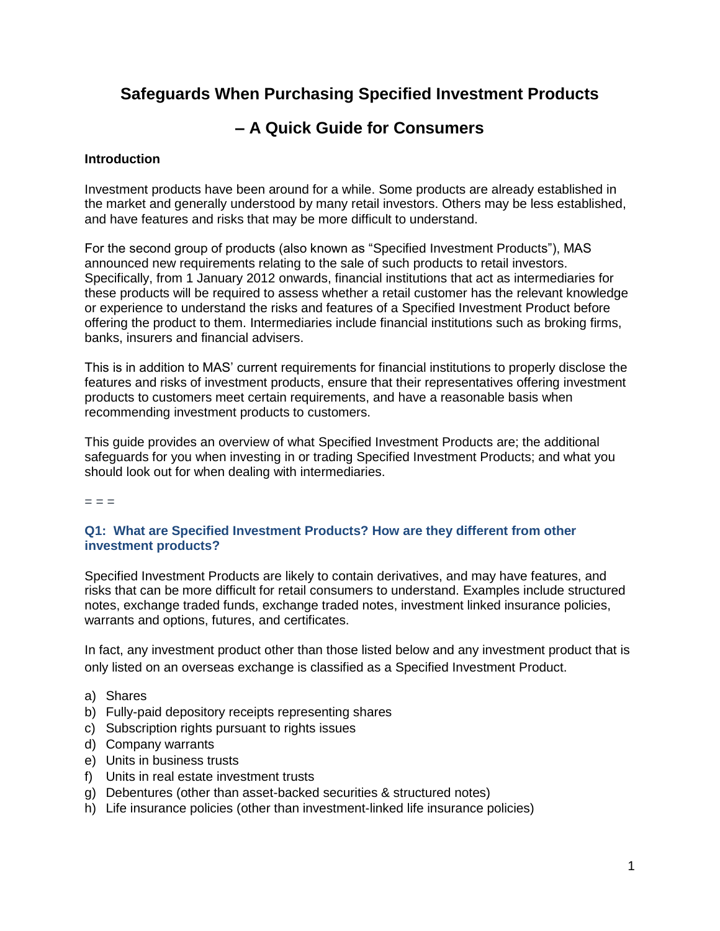## **Safeguards When Purchasing Specified Investment Products**

# **– A Quick Guide for Consumers**

## **Introduction**

Investment products have been around for a while. Some products are already established in the market and generally understood by many retail investors. Others may be less established, and have features and risks that may be more difficult to understand.

For the second group of products (also known as "Specified Investment Products"), MAS announced new requirements relating to the sale of such products to retail investors. Specifically, from 1 January 2012 onwards, financial institutions that act as intermediaries for these products will be required to assess whether a retail customer has the relevant knowledge or experience to understand the risks and features of a Specified Investment Product before offering the product to them. Intermediaries include financial institutions such as broking firms, banks, insurers and financial advisers.

This is in addition to MAS' current requirements for financial institutions to properly disclose the features and risks of investment products, ensure that their representatives offering investment products to customers meet certain requirements, and have a reasonable basis when recommending investment products to customers.

This guide provides an overview of what Specified Investment Products are; the additional safeguards for you when investing in or trading Specified Investment Products; and what you should look out for when dealing with intermediaries.

 $=$   $=$ 

## **Q1: What are Specified Investment Products? How are they different from other investment products?**

Specified Investment Products are likely to contain derivatives, and may have features, and risks that can be more difficult for retail consumers to understand. Examples include structured notes, exchange traded funds, exchange traded notes, investment linked insurance policies, warrants and options, futures, and certificates.

In fact, any investment product other than those listed below and any investment product that is only listed on an overseas exchange is classified as a Specified Investment Product.

- a) Shares
- b) Fully-paid depository receipts representing shares
- c) Subscription rights pursuant to rights issues
- d) Company warrants
- e) Units in business trusts
- f) Units in real estate investment trusts
- g) Debentures (other than asset-backed securities & structured notes)
- h) Life insurance policies (other than investment-linked life insurance policies)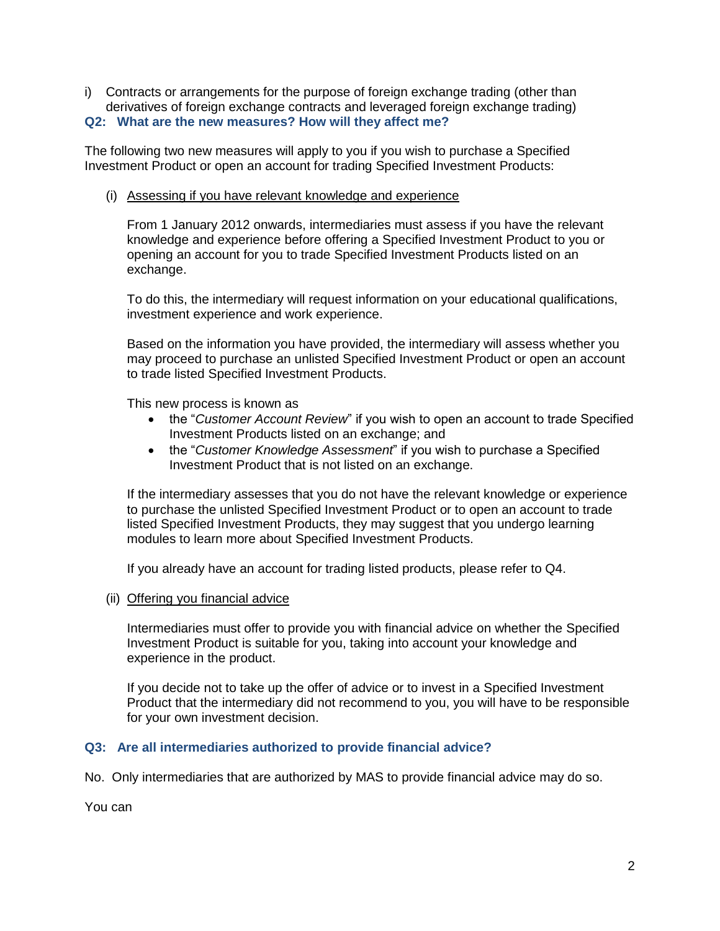i) Contracts or arrangements for the purpose of foreign exchange trading (other than derivatives of foreign exchange contracts and leveraged foreign exchange trading) **Q2: What are the new measures? How will they affect me?**

The following two new measures will apply to you if you wish to purchase a Specified Investment Product or open an account for trading Specified Investment Products:

(i) Assessing if you have relevant knowledge and experience

From 1 January 2012 onwards, intermediaries must assess if you have the relevant knowledge and experience before offering a Specified Investment Product to you or opening an account for you to trade Specified Investment Products listed on an exchange.

To do this, the intermediary will request information on your educational qualifications, investment experience and work experience.

Based on the information you have provided, the intermediary will assess whether you may proceed to purchase an unlisted Specified Investment Product or open an account to trade listed Specified Investment Products.

This new process is known as

- the "*Customer Account Review*" if you wish to open an account to trade Specified Investment Products listed on an exchange; and
- the "*Customer Knowledge Assessment*" if you wish to purchase a Specified Investment Product that is not listed on an exchange.

If the intermediary assesses that you do not have the relevant knowledge or experience to purchase the unlisted Specified Investment Product or to open an account to trade listed Specified Investment Products, they may suggest that you undergo learning modules to learn more about Specified Investment Products.

If you already have an account for trading listed products, please refer to Q4.

(ii) Offering you financial advice

Intermediaries must offer to provide you with financial advice on whether the Specified Investment Product is suitable for you, taking into account your knowledge and experience in the product.

If you decide not to take up the offer of advice or to invest in a Specified Investment Product that the intermediary did not recommend to you, you will have to be responsible for your own investment decision.

## **Q3: Are all intermediaries authorized to provide financial advice?**

No. Only intermediaries that are authorized by MAS to provide financial advice may do so.

You can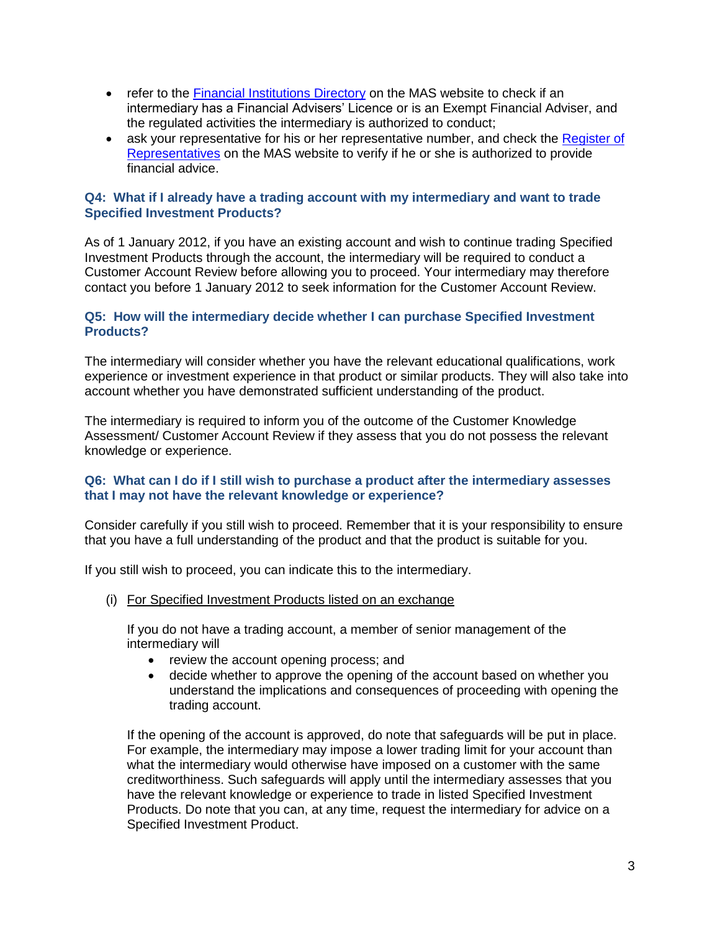- refer to the [Financial Institutions Directory](http://www.mas.gov.sg/fi_directory/index.html) on the MAS website to check if an intermediary has a Financial Advisers' Licence or is an Exempt Financial Adviser, and the regulated activities the intermediary is authorized to conduct;
- ask your representative for his or her representative number, and check the [Register of](http://www.mas.gov.sg/fi_directory/RR_index.html) [Representatives](http://www.mas.gov.sg/fi_directory/RR_index.html) on the MAS website to verify if he or she is authorized to provide financial advice.

## **Q4: What if I already have a trading account with my intermediary and want to trade Specified Investment Products?**

As of 1 January 2012, if you have an existing account and wish to continue trading Specified Investment Products through the account, the intermediary will be required to conduct a Customer Account Review before allowing you to proceed. Your intermediary may therefore contact you before 1 January 2012 to seek information for the Customer Account Review.

#### **Q5: How will the intermediary decide whether I can purchase Specified Investment Products?**

The intermediary will consider whether you have the relevant educational qualifications, work experience or investment experience in that product or similar products. They will also take into account whether you have demonstrated sufficient understanding of the product.

The intermediary is required to inform you of the outcome of the Customer Knowledge Assessment/ Customer Account Review if they assess that you do not possess the relevant knowledge or experience.

#### **Q6: What can I do if I still wish to purchase a product after the intermediary assesses that I may not have the relevant knowledge or experience?**

Consider carefully if you still wish to proceed. Remember that it is your responsibility to ensure that you have a full understanding of the product and that the product is suitable for you.

If you still wish to proceed, you can indicate this to the intermediary.

(i) For Specified Investment Products listed on an exchange

If you do not have a trading account, a member of senior management of the intermediary will

- review the account opening process; and
- decide whether to approve the opening of the account based on whether you understand the implications and consequences of proceeding with opening the trading account.

If the opening of the account is approved, do note that safeguards will be put in place. For example, the intermediary may impose a lower trading limit for your account than what the intermediary would otherwise have imposed on a customer with the same creditworthiness. Such safeguards will apply until the intermediary assesses that you have the relevant knowledge or experience to trade in listed Specified Investment Products. Do note that you can, at any time, request the intermediary for advice on a Specified Investment Product.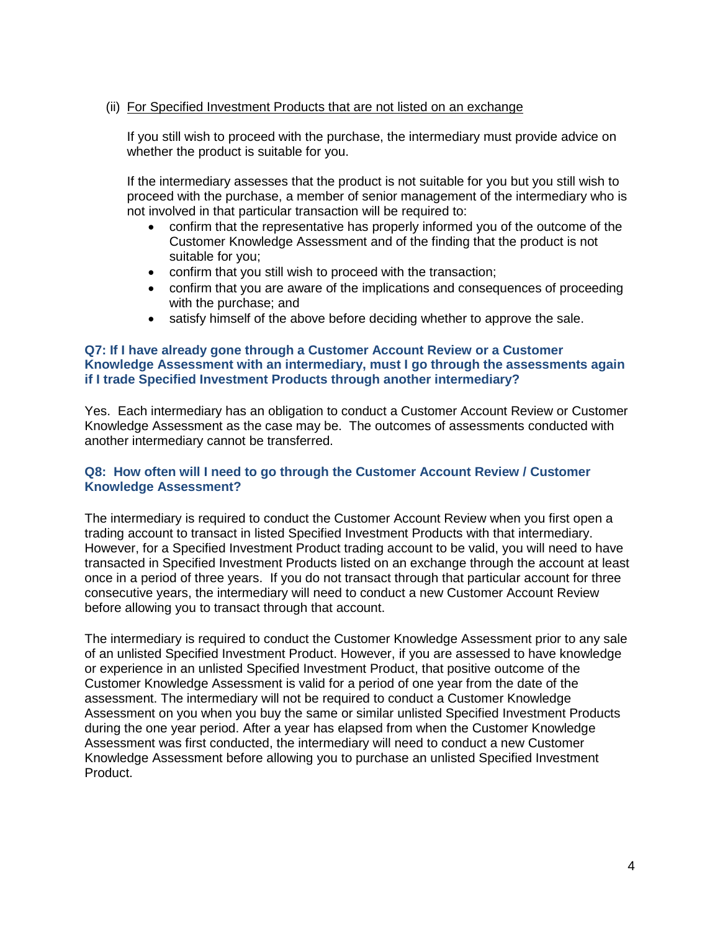### (ii) For Specified Investment Products that are not listed on an exchange

If you still wish to proceed with the purchase, the intermediary must provide advice on whether the product is suitable for you.

If the intermediary assesses that the product is not suitable for you but you still wish to proceed with the purchase, a member of senior management of the intermediary who is not involved in that particular transaction will be required to:

- confirm that the representative has properly informed you of the outcome of the Customer Knowledge Assessment and of the finding that the product is not suitable for you;
- confirm that you still wish to proceed with the transaction;
- confirm that you are aware of the implications and consequences of proceeding with the purchase; and
- satisfy himself of the above before deciding whether to approve the sale.

#### **Q7: If I have already gone through a Customer Account Review or a Customer Knowledge Assessment with an intermediary, must I go through the assessments again if I trade Specified Investment Products through another intermediary?**

Yes. Each intermediary has an obligation to conduct a Customer Account Review or Customer Knowledge Assessment as the case may be. The outcomes of assessments conducted with another intermediary cannot be transferred.

#### **Q8: How often will I need to go through the Customer Account Review / Customer Knowledge Assessment?**

The intermediary is required to conduct the Customer Account Review when you first open a trading account to transact in listed Specified Investment Products with that intermediary. However, for a Specified Investment Product trading account to be valid, you will need to have transacted in Specified Investment Products listed on an exchange through the account at least once in a period of three years. If you do not transact through that particular account for three consecutive years, the intermediary will need to conduct a new Customer Account Review before allowing you to transact through that account.

The intermediary is required to conduct the Customer Knowledge Assessment prior to any sale of an unlisted Specified Investment Product. However, if you are assessed to have knowledge or experience in an unlisted Specified Investment Product, that positive outcome of the Customer Knowledge Assessment is valid for a period of one year from the date of the assessment. The intermediary will not be required to conduct a Customer Knowledge Assessment on you when you buy the same or similar unlisted Specified Investment Products during the one year period. After a year has elapsed from when the Customer Knowledge Assessment was first conducted, the intermediary will need to conduct a new Customer Knowledge Assessment before allowing you to purchase an unlisted Specified Investment Product.